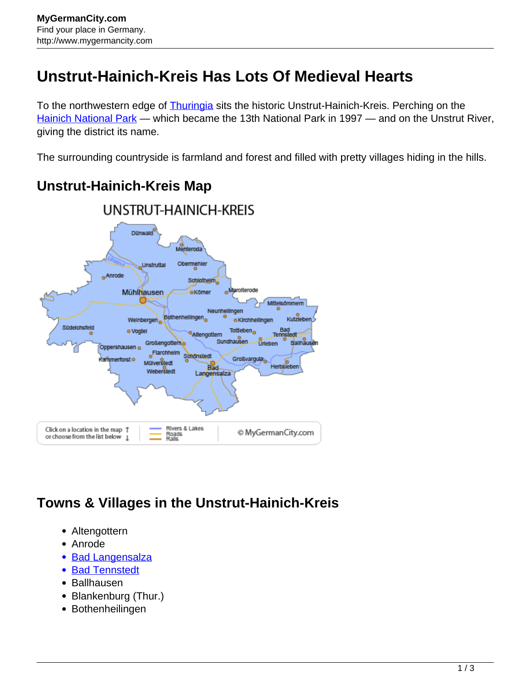# **Unstrut-Hainich-Kreis Has Lots Of Medieval Hearts**

To the northwestern edge of **Thuringia** sits the historic Unstrut-Hainich-Kreis. Perching on the [Hainich National Park](http://www.mygermancity.com/hainich-national-park) — which became the 13th National Park in 1997 — and on the Unstrut River, giving the district its name.

The surrounding countryside is farmland and forest and filled with pretty villages hiding in the hills.

#### UNSTRUT-HAINICH-KREIS Dünwald Menteroda Obermehler **Unstruttal** - Anrode **Schlotheim Marniterorie** Mühlhausen **e**Kömer Mittelsömmern Neunheilingen Bothenhellingen. Kutzleben Weinbergen · Kirchheilinger Südelchsfeld Tottleben<sub>o</sub> Bad · Vogtel Altengottern Tennster Ballhau Sundhausen. **Urleben** Großengottern<sub>e</sub> Oppershausen o Flarchheim Schönstedt Großvargula<sub>e</sub> kammerforst o Mülverstedt Herbsleben **Rad** Weberstedt Langensalza Rivers & Lakes Click on a location in the map 1 © MyGermanCity.com Roads<br>Ralls or choose from the list below 1

### **Unstrut-Hainich-Kreis Map**

## **Towns & Villages in the Unstrut-Hainich-Kreis**

- Altengottern
- Anrode
- [Bad Langensalza](http://www.mygermancity.com/bad-langensalza)
- [Bad Tennstedt](http://www.mygermancity.com/bad-tennstedt)
- Ballhausen
- Blankenburg (Thur.)
- Bothenheilingen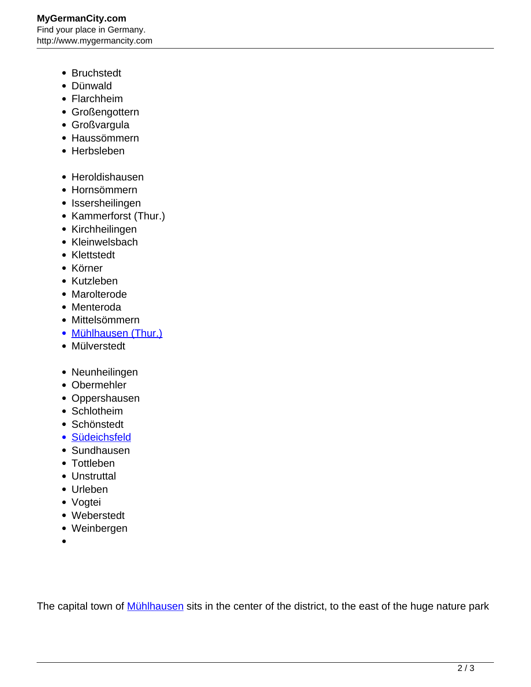#### **MyGermanCity.com** Find your place in Germany. http://www.mygermancity.com

- Bruchstedt
- Dünwald
- Flarchheim
- Großengottern
- Großvargula
- Haussömmern
- Herbsleben
- Heroldishausen
- Hornsömmern
- Issersheilingen
- Kammerforst (Thur.)
- Kirchheilingen
- Kleinwelsbach
- Klettstedt
- Körner
- Kutzleben
- Marolterode
- Menteroda
- Mittelsömmern
- [Mühlhausen \(Thur.\)](http://www.mygermancity.com/muehlhausen-thuringia)
- Mülverstedt
- Neunheilingen
- Obermehler
- Oppershausen
- Schlotheim
- Schönstedt
- · [Südeichsfeld](http://www.mygermancity.com/suedeichsfeld)
- Sundhausen
- Tottleben
- Unstruttal
- Urleben
- Vogtei
- Weberstedt
- Weinbergen
- 

The capital town of **Mühlhausen** sits in the center of the district, to the east of the huge nature park